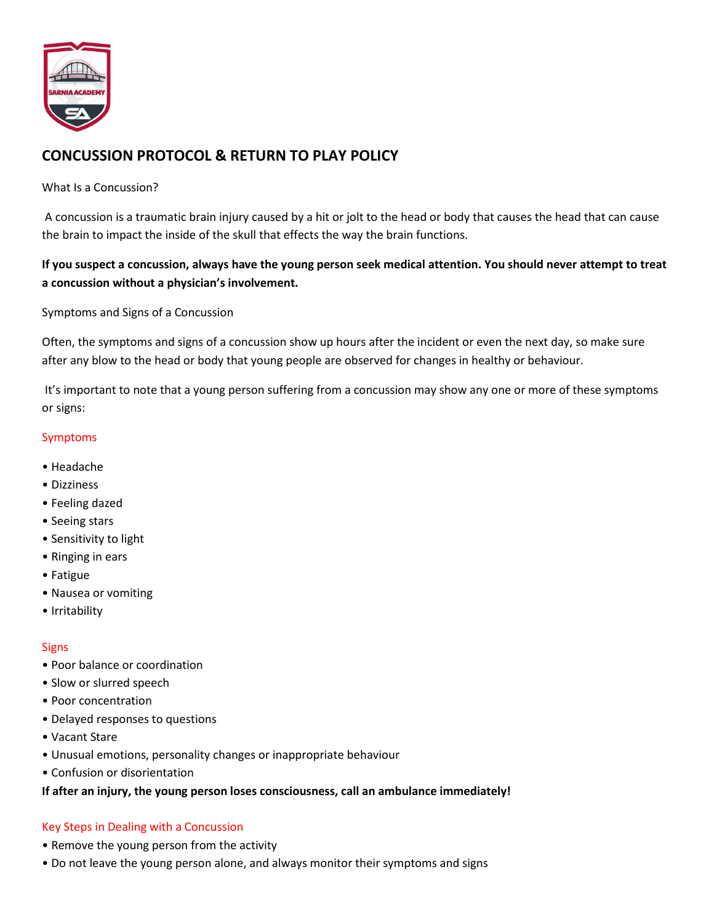

# **CONCUSSION PROTOCOL & RETURN TO PLAY POLICY**

## What Is a Concussion?

A concussion is a traumatic brain injury caused by a hit or jolt to the head or body that causes the head that can cause the brain to impact the inside of the skull that effects the way the brain functions.

# **If you suspect a concussion, always have the young person seek medical attention. You should never attempt to treat a concussion without a physician's involvement.**

## Symptoms and Signs of a Concussion

Often, the symptoms and signs of a concussion show up hours after the incident or even the next day, so make sure after any blow to the head or body that young people are observed for changes in healthy or behaviour.

It's important to note that a young person suffering from a concussion may show any one or more of these symptoms or signs:

## Symptoms

- Headache
- Dizziness
- Feeling dazed
- Seeing stars
- Sensitivity to light
- Ringing in ears
- Fatigue
- Nausea or vomiting
- Irritability

#### **Signs**

- Poor balance or coordination
- Slow or slurred speech
- Poor concentration
- Delayed responses to questions
- Vacant Stare
- Unusual emotions, personality changes or inappropriate behaviour
- Confusion or disorientation

#### **If after an injury, the young person loses consciousness, call an ambulance immediately!**

#### Key Steps in Dealing with a Concussion

- Remove the young person from the activity
- Do not leave the young person alone, and always monitor their symptoms and signs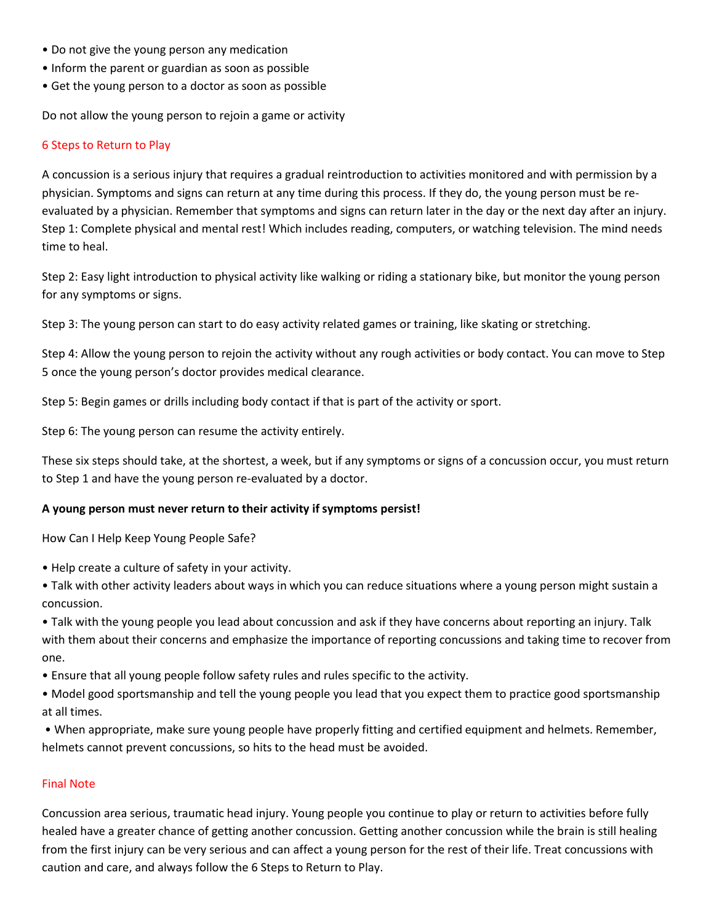- Do not give the young person any medication
- Inform the parent or guardian as soon as possible
- Get the young person to a doctor as soon as possible

Do not allow the young person to rejoin a game or activity

#### 6 Steps to Return to Play

A concussion is a serious injury that requires a gradual reintroduction to activities monitored and with permission by a physician. Symptoms and signs can return at any time during this process. If they do, the young person must be reevaluated by a physician. Remember that symptoms and signs can return later in the day or the next day after an injury. Step 1: Complete physical and mental rest! Which includes reading, computers, or watching television. The mind needs time to heal.

Step 2: Easy light introduction to physical activity like walking or riding a stationary bike, but monitor the young person for any symptoms or signs.

Step 3: The young person can start to do easy activity related games or training, like skating or stretching.

Step 4: Allow the young person to rejoin the activity without any rough activities or body contact. You can move to Step 5 once the young person's doctor provides medical clearance.

Step 5: Begin games or drills including body contact if that is part of the activity or sport.

Step 6: The young person can resume the activity entirely.

These six steps should take, at the shortest, a week, but if any symptoms or signs of a concussion occur, you must return to Step 1 and have the young person re-evaluated by a doctor.

#### **A young person must never return to their activity if symptoms persist!**

How Can I Help Keep Young People Safe?

- Help create a culture of safety in your activity.
- Talk with other activity leaders about ways in which you can reduce situations where a young person might sustain a concussion.

• Talk with the young people you lead about concussion and ask if they have concerns about reporting an injury. Talk with them about their concerns and emphasize the importance of reporting concussions and taking time to recover from one.

• Ensure that all young people follow safety rules and rules specific to the activity.

• Model good sportsmanship and tell the young people you lead that you expect them to practice good sportsmanship at all times.

• When appropriate, make sure young people have properly fitting and certified equipment and helmets. Remember, helmets cannot prevent concussions, so hits to the head must be avoided.

#### Final Note

Concussion area serious, traumatic head injury. Young people you continue to play or return to activities before fully healed have a greater chance of getting another concussion. Getting another concussion while the brain is still healing from the first injury can be very serious and can affect a young person for the rest of their life. Treat concussions with caution and care, and always follow the 6 Steps to Return to Play.